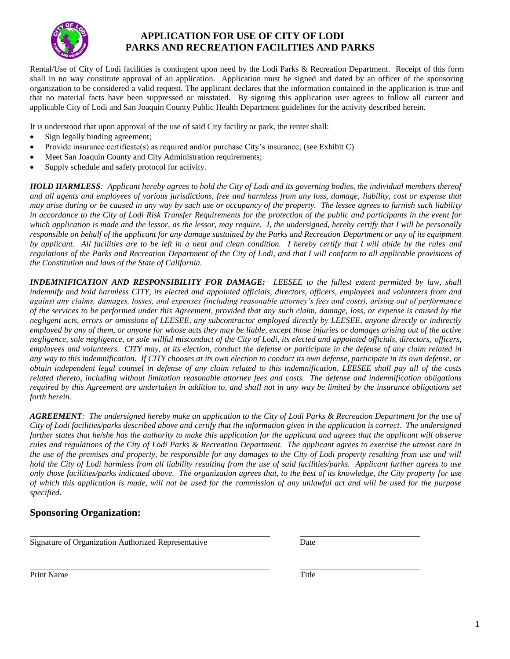

# **APPLICATION FOR USE OF CITY OF LODI PARKS AND RECREATION FACILITIES AND PARKS**

Rental/Use of City of Lodi facilities is contingent upon need by the Lodi Parks & Recreation Department. Receipt of this form shall in no way constitute approval of an application. Application must be signed and dated by an officer of the sponsoring organization to be considered a valid request. The applicant declares that the information contained in the application is true and that no material facts have been suppressed or misstated. By signing this application user agrees to follow all current and applicable City of Lodi and San Joaquin County Public Health Department guidelines for the activity described herein.

It is understood that upon approval of the use of said City facility or park, the renter shall:

- Sign legally binding agreement;
- Provide insurance certificate(s) as required and/or purchase City's insurance; (see Exhibit C)
- Meet San Joaquin County and City Administration requirements;
- Supply schedule and safety protocol for activity.

*HOLD HARMLESS: Applicant hereby agrees to hold the City of Lodi and its governing bodies, the individual members thereof and all agents and employees of various jurisdictions, free and harmless from any loss, damage, liability, cost or expense that may arise during or be caused in any way by such use or occupancy of the property. The lessee agrees to furnish such liability in accordance to the City of Lodi Risk Transfer Requirements for the protection of the public and participants in the event for which application is made and the lessor, as the lessor, may require. I, the undersigned, hereby certify that I will be personally responsible on behalf of the applicant for any damage sustained by the Parks and Recreation Department or any of its equipment by applicant. All facilities are to be left in a neat and clean condition. I hereby certify that I will abide by the rules and regulations of the Parks and Recreation Department of the City of Lodi, and that I will conform to all applicable provisions of the Constitution and laws of the State of California.*

*INDEMNIFICATION AND RESPONSIBILITY FOR DAMAGE: LEESEE to the fullest extent permitted by law, shall indemnify and hold harmless CITY, its elected and appointed officials, directors, officers, employees and volunteers from and against any claims, damages, losses, and expenses (including reasonable attorney's fees and costs), arising out of performance of the services to be performed under this Agreement, provided that any such claim, damage, loss, or expense is caused by the negligent acts, errors or omissions of LEESEE, any subcontractor employed directly by LEESEE, anyone directly or indirectly employed by any of them, or anyone for whose acts they may be liable, except those injuries or damages arising out of the active negligence, sole negligence, or sole willful misconduct of the City of Lodi, its elected and appointed officials, directors, officers, employees and volunteers. CITY may, at its election, conduct the defense or participate in the defense of any claim related in any way to this indemnification. If CITY chooses at its own election to conduct its own defense, participate in its own defense, or obtain independent legal counsel in defense of any claim related to this indemnification, LEESEE shall pay all of the costs related thereto, including without limitation reasonable attorney fees and costs. The defense and indemnification obligations required by this Agreement are undertaken in addition to, and shall not in any way be limited by the insurance obligations set forth herein.*

*AGREEMENT: The undersigned hereby make an application to the City of Lodi Parks & Recreation Department for the use of City of Lodi facilities/parks described above and certify that the information given in the application is correct. The undersigned*  further states that he/she has the authority to make this application for the applicant and agrees that the applicant will observe *rules and regulations of the City of Lodi Parks & Recreation Department. The applicant agrees to exercise the utmost care in the use of the premises and property, be responsible for any damages to the City of Lodi property resulting from use and will hold the City of Lodi harmless from all liability resulting from the use of said facilities/parks. Applicant further agrees to use only those facilities/parks indicated above. The organization agrees that, to the best of its knowledge, the City property for use of which this application is made, will not be used for the commission of any unlawful act and will be used for the purpose specified.*

# **Sponsoring Organization:**

Signature of Organization Authorized Representative Date

Print Name Title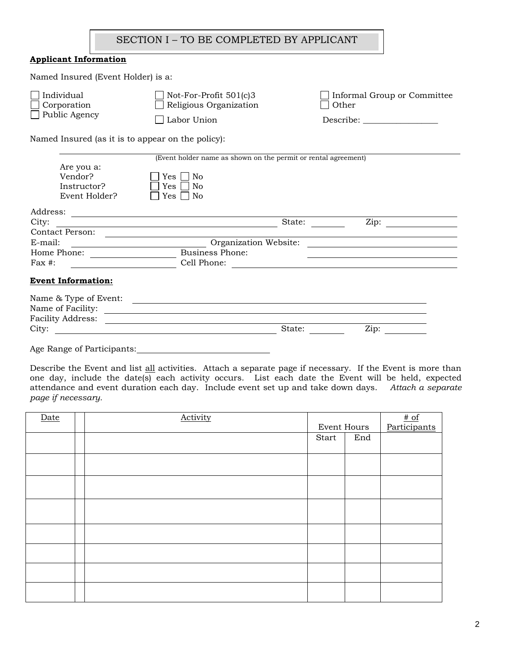## SECTION I – TO BE COMPLETED BY APPLICANT

## **Applicant Information**

| Named Insured (Event Holder) is a:                |                                                                |                                      |
|---------------------------------------------------|----------------------------------------------------------------|--------------------------------------|
| Individual<br>Corporation<br>Public Agency        | Not-For-Profit $501(c)3$<br>Religious Organization             | Informal Group or Committee<br>Other |
|                                                   | Labor Union                                                    | Describe:                            |
| Named Insured (as it is to appear on the policy): |                                                                |                                      |
|                                                   | (Event holder name as shown on the permit or rental agreement) |                                      |
| Are you a:                                        |                                                                |                                      |
| Vendor?                                           | Yes<br>No                                                      |                                      |
| Instructor?                                       | No<br>Yes                                                      |                                      |
| Event Holder?                                     | Yes<br>No                                                      |                                      |
| Address:                                          |                                                                |                                      |
| City:                                             | State:                                                         | Zip:                                 |
| Contact Person:                                   |                                                                |                                      |
| E-mail:                                           | Organization Website:                                          |                                      |

#### **Event Information:**

| Name of Facility:        |  |
|--------------------------|--|
|                          |  |
| <b>Facility Address:</b> |  |
| City:<br>Zip:<br>State:  |  |

Age Range of Participants:

Home Phone: Business Phone: Fax #: Cell Phone:

Describe the Event and list all activities. Attach a separate page if necessary. If the Event is more than one day, include the date(s) each activity occurs. List each date the Event will be held, expected attendance and event duration each day. Include event set up and take down days. *Attach a separate page if necessary.*

| Date | Activity |             |     |                                            |
|------|----------|-------------|-----|--------------------------------------------|
|      |          | Event Hours |     | $\frac{\text{\# of}}{\text{Participants}}$ |
|      |          | Start       | End |                                            |
|      |          |             |     |                                            |
|      |          |             |     |                                            |
|      |          |             |     |                                            |
|      |          |             |     |                                            |
|      |          |             |     |                                            |
|      |          |             |     |                                            |
|      |          |             |     |                                            |
|      |          |             |     |                                            |
|      |          |             |     |                                            |
|      |          |             |     |                                            |
|      |          |             |     |                                            |
|      |          |             |     |                                            |
|      |          |             |     |                                            |
|      |          |             |     |                                            |
|      |          |             |     |                                            |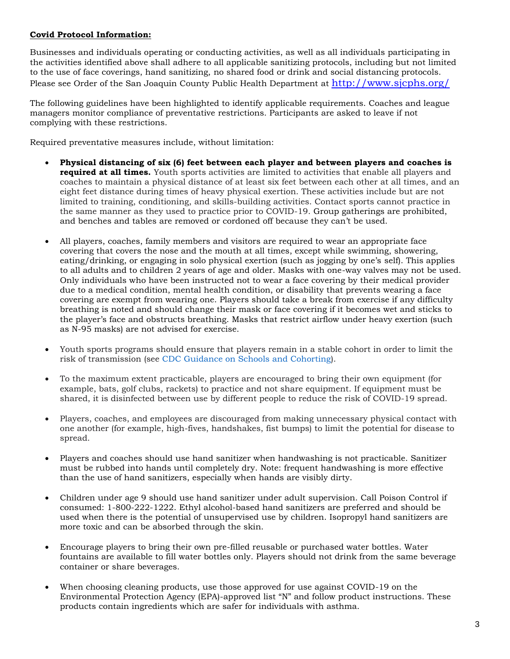## **Covid Protocol Information:**

Businesses and individuals operating or conducting activities, as well as all individuals participating in the activities identified above shall adhere to all applicable sanitizing protocols, including but not limited to the use of face coverings, hand sanitizing, no shared food or drink and social distancing protocols. Please see Order of the San Joaquin County Public Health Department at <http://www.sjcphs.org/>

The following guidelines have been highlighted to identify applicable requirements. Coaches and league managers monitor compliance of preventative restrictions. Participants are asked to leave if not complying with these restrictions.

Required preventative measures include, without limitation:

- **Physical distancing of six (6) feet between each player and between players and coaches is required at all times.** Youth sports activities are limited to activities that enable all players and coaches to maintain a physical distance of at least six feet between each other at all times, and an eight feet distance during times of heavy physical exertion. These activities include but are not limited to training, conditioning, and skills-building activities. Contact sports cannot practice in the same manner as they used to practice prior to COVID-19. Group gatherings are prohibited, and benches and tables are removed or cordoned off because they can't be used.
- All players, coaches, family members and visitors are required to wear an appropriate face covering that covers the nose and the mouth at all times, except while swimming, showering, eating/drinking, or engaging in solo physical exertion (such as jogging by one's self). This applies to all adults and to children 2 years of age and older. Masks with one-way valves may not be used. Only individuals who have been instructed not to wear a face covering by their medical provider due to a medical condition, mental health condition, or disability that prevents wearing a face covering are exempt from wearing one. Players should take a break from exercise if any difficulty breathing is noted and should change their mask or face covering if it becomes wet and sticks to the player's face and obstructs breathing. Masks that restrict airflow under heavy exertion (such as N-95 masks) are not advised for exercise.
- Youth sports programs should ensure that players remain in a stable cohort in order to limit the risk of transmission (see CDC Guidance on Schools and Cohorting).
- To the maximum extent practicable, players are encouraged to bring their own equipment (for example, bats, golf clubs, rackets) to practice and not share equipment. If equipment must be shared, it is disinfected between use by different people to reduce the risk of COVID-19 spread.
- Players, coaches, and employees are discouraged from making unnecessary physical contact with one another (for example, high-fives, handshakes, fist bumps) to limit the potential for disease to spread.
- Players and coaches should use hand sanitizer when handwashing is not practicable. Sanitizer must be rubbed into hands until completely dry. Note: frequent handwashing is more effective than the use of hand sanitizers, especially when hands are visibly dirty.
- Children under age 9 should use hand sanitizer under adult supervision. Call Poison Control if consumed: 1-800-222-1222. Ethyl alcohol-based hand sanitizers are preferred and should be used when there is the potential of unsupervised use by children. Isopropyl hand sanitizers are more toxic and can be absorbed through the skin.
- Encourage players to bring their own pre-filled reusable or purchased water bottles. Water fountains are available to fill water bottles only. Players should not drink from the same beverage container or share beverages.
- When choosing cleaning products, use those approved for use against COVID-19 on the Environmental Protection Agency (EPA)-approved list "N" and follow product instructions. These products contain ingredients which are safer for individuals with asthma.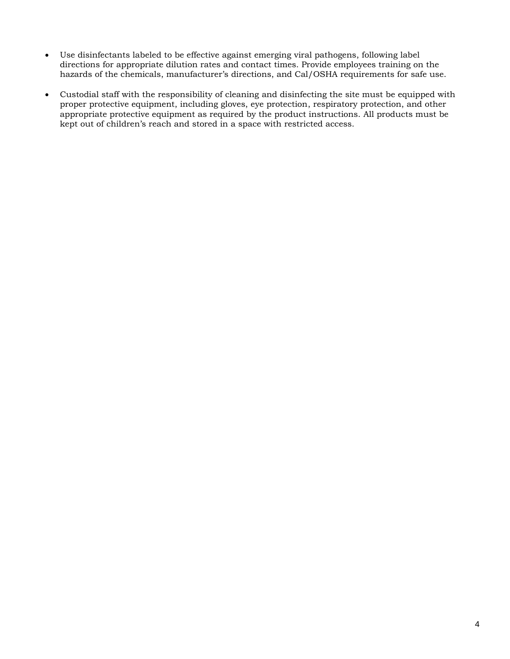- Use disinfectants labeled to be effective against emerging viral pathogens, following label directions for appropriate dilution rates and contact times. Provide employees training on the hazards of the chemicals, manufacturer's directions, and Cal/OSHA requirements for safe use.
- Custodial staff with the responsibility of cleaning and disinfecting the site must be equipped with proper protective equipment, including gloves, eye protection, respiratory protection, and other appropriate protective equipment as required by the product instructions. All products must be kept out of children's reach and stored in a space with restricted access.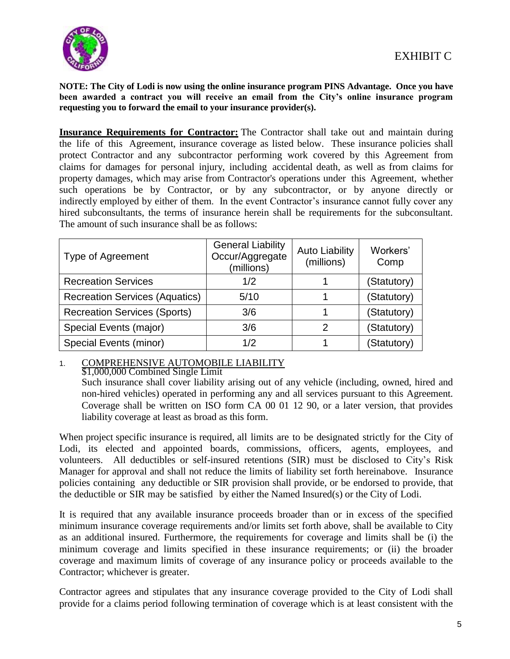

**NOTE: The City of Lodi is now using the online insurance program PINS Advantage. Once you have been awarded a contract you will receive an email from the City's online insurance program requesting you to forward the email to your insurance provider(s).**

**Insurance Requirements for Contractor:** The Contractor shall take out and maintain during the life of this Agreement, insurance coverage as listed below. These insurance policies shall protect Contractor and any subcontractor performing work covered by this Agreement from claims for damages for personal injury, including accidental death, as well as from claims for property damages, which may arise from Contractor's operations under this Agreement, whether such operations be by Contractor, or by any subcontractor, or by anyone directly or indirectly employed by either of them. In the event Contractor's insurance cannot fully cover any hired subconsultants, the terms of insurance herein shall be requirements for the subconsultant. The amount of such insurance shall be as follows:

| <b>Type of Agreement</b>              | <b>General Liability</b><br>Occur/Aggregate<br>(millions) | <b>Auto Liability</b><br>(millions) | Workers'<br>Comp |
|---------------------------------------|-----------------------------------------------------------|-------------------------------------|------------------|
| <b>Recreation Services</b>            | 1/2                                                       |                                     | (Statutory)      |
| <b>Recreation Services (Aquatics)</b> | 5/10                                                      |                                     | (Statutory)      |
| <b>Recreation Services (Sports)</b>   | 3/6                                                       |                                     | (Statutory)      |
| Special Events (major)                | 3/6                                                       | 2                                   | (Statutory)      |
| <b>Special Events (minor)</b>         | 1/2                                                       |                                     | (Statutory)      |

# 1. COMPREHENSIVE AUTOMOBILE LIABILITY

\$1,000,000 Combined Single Limit

Such insurance shall cover liability arising out of any vehicle (including, owned, hired and non-hired vehicles) operated in performing any and all services pursuant to this Agreement. Coverage shall be written on ISO form CA 00 01 12 90, or a later version, that provides liability coverage at least as broad as this form.

When project specific insurance is required, all limits are to be designated strictly for the City of Lodi, its elected and appointed boards, commissions, officers, agents, employees, and volunteers. All deductibles or self-insured retentions (SIR) must be disclosed to City's Risk Manager for approval and shall not reduce the limits of liability set forth hereinabove. Insurance policies containing any deductible or SIR provision shall provide, or be endorsed to provide, that the deductible or SIR may be satisfied by either the Named Insured(s) or the City of Lodi.

It is required that any available insurance proceeds broader than or in excess of the specified minimum insurance coverage requirements and/or limits set forth above, shall be available to City as an additional insured. Furthermore, the requirements for coverage and limits shall be (i) the minimum coverage and limits specified in these insurance requirements; or (ii) the broader coverage and maximum limits of coverage of any insurance policy or proceeds available to the Contractor; whichever is greater.

Contractor agrees and stipulates that any insurance coverage provided to the City of Lodi shall provide for a claims period following termination of coverage which is at least consistent with the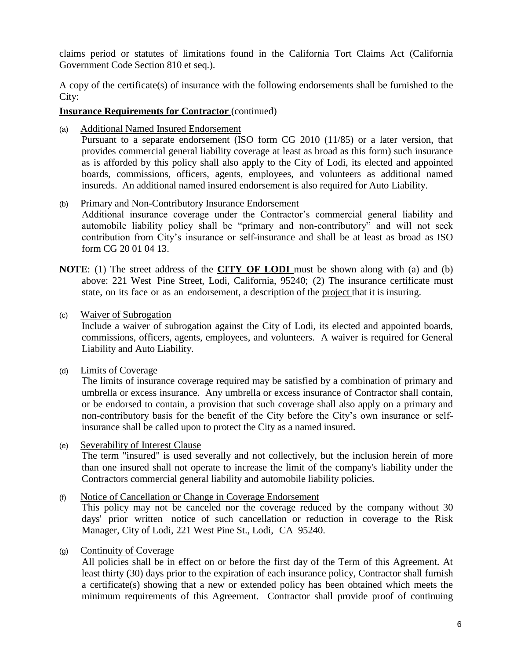claims period or statutes of limitations found in the California Tort Claims Act (California Government Code Section 810 et seq.).

A copy of the certificate(s) of insurance with the following endorsements shall be furnished to the City:

## **Insurance Requirements for Contractor** (continued)

(a) Additional Named Insured Endorsement

Pursuant to a separate endorsement (ISO form CG 2010 (11/85) or a later version, that provides commercial general liability coverage at least as broad as this form) such insurance as is afforded by this policy shall also apply to the City of Lodi, its elected and appointed boards, commissions, officers, agents, employees, and volunteers as additional named insureds. An additional named insured endorsement is also required for Auto Liability.

- (b) Primary and Non-Contributory Insurance Endorsement Additional insurance coverage under the Contractor's commercial general liability and automobile liability policy shall be "primary and non-contributory" and will not seek contribution from City's insurance or self-insurance and shall be at least as broad as ISO form CG 20 01 04 13.
- **NOTE**: (1) The street address of the **CITY OF LODI** must be shown along with (a) and (b) above: 221 West Pine Street, Lodi, California, 95240; (2) The insurance certificate must state, on its face or as an endorsement, a description of the project that it is insuring.
- (c) Waiver of Subrogation

Include a waiver of subrogation against the City of Lodi, its elected and appointed boards, commissions, officers, agents, employees, and volunteers. A waiver is required for General Liability and Auto Liability.

(d) Limits of Coverage

The limits of insurance coverage required may be satisfied by a combination of primary and umbrella or excess insurance. Any umbrella or excess insurance of Contractor shall contain, or be endorsed to contain, a provision that such coverage shall also apply on a primary and non-contributory basis for the benefit of the City before the City's own insurance or selfinsurance shall be called upon to protect the City as a named insured.

(e) Severability of Interest Clause

The term "insured" is used severally and not collectively, but the inclusion herein of more than one insured shall not operate to increase the limit of the company's liability under the Contractors commercial general liability and automobile liability policies.

(f) Notice of Cancellation or Change in Coverage Endorsement

This policy may not be canceled nor the coverage reduced by the company without 30 days' prior written notice of such cancellation or reduction in coverage to the Risk Manager, City of Lodi, 221 West Pine St., Lodi, CA 95240.

(g) Continuity of Coverage

All policies shall be in effect on or before the first day of the Term of this Agreement. At least thirty (30) days prior to the expiration of each insurance policy, Contractor shall furnish a certificate(s) showing that a new or extended policy has been obtained which meets the minimum requirements of this Agreement. Contractor shall provide proof of continuing